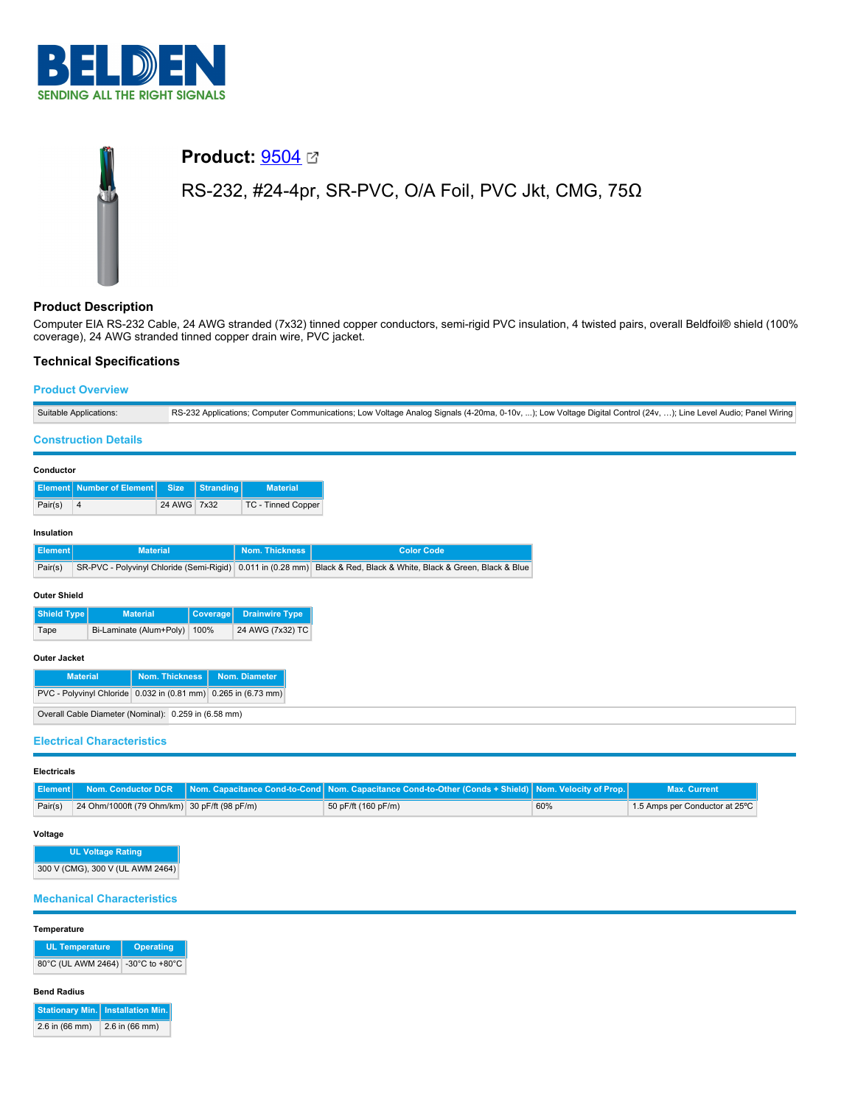

# **Product:** [9504](https://catalog.belden.com/index.cfm?event=pd&p=PF_9504&tab=downloads) RS-232, #24-4pr, SR-PVC, O/A Foil, PVC Jkt, CMG, 75Ω

## **Product Description**

Computer EIA RS-232 Cable, 24 AWG stranded (7x32) tinned copper conductors, semi-rigid PVC insulation, 4 twisted pairs, overall Beldfoil® shield (100% coverage), 24 AWG stranded tinned copper drain wire, PVC jacket.

# **Technical Specifications**

## **Product Overview**

|                                                                | Suitable Applications:                   |                 |                  |                       |                                                                            | RS-232 Applications; Computer Communications; Low Voltage Analog Signals (4-20ma, 0-10v, ); Low Voltage Digital Control (24v, ); Line Level Audio; Panel Wiring |  |
|----------------------------------------------------------------|------------------------------------------|-----------------|------------------|-----------------------|----------------------------------------------------------------------------|-----------------------------------------------------------------------------------------------------------------------------------------------------------------|--|
|                                                                | <b>Construction Details</b>              |                 |                  |                       |                                                                            |                                                                                                                                                                 |  |
| Conductor                                                      |                                          |                 |                  |                       |                                                                            |                                                                                                                                                                 |  |
|                                                                | <b>Element   Number of Element</b>       | <b>Size</b>     | <b>Stranding</b> | <b>Material</b>       |                                                                            |                                                                                                                                                                 |  |
| Pair(s)                                                        | $\overline{4}$                           | 24 AWG 7x32     |                  | TC - Tinned Copper    |                                                                            |                                                                                                                                                                 |  |
| Insulation                                                     |                                          |                 |                  |                       |                                                                            |                                                                                                                                                                 |  |
| <b>Element</b>                                                 |                                          | <b>Material</b> |                  | <b>Nom. Thickness</b> | <b>Color Code</b>                                                          |                                                                                                                                                                 |  |
| Pair(s)                                                        | SR-PVC - Polyvinyl Chloride (Semi-Rigid) |                 |                  |                       | 0.011 in (0.28 mm) Black & Red, Black & White, Black & Green, Black & Blue |                                                                                                                                                                 |  |
| <b>Outer Shield</b>                                            |                                          |                 |                  |                       |                                                                            |                                                                                                                                                                 |  |
| Shield Type                                                    | <b>Material</b>                          |                 | <b>Coverage</b>  | <b>Drainwire Type</b> |                                                                            |                                                                                                                                                                 |  |
| Tape                                                           | Bi-Laminate (Alum+Poly)                  |                 | 100%             | 24 AWG (7x32) TC      |                                                                            |                                                                                                                                                                 |  |
| <b>Outer Jacket</b>                                            |                                          |                 |                  |                       |                                                                            |                                                                                                                                                                 |  |
| Nom. Diameter<br><b>Nom. Thickness</b><br><b>Material</b>      |                                          |                 |                  |                       |                                                                            |                                                                                                                                                                 |  |
| PVC - Polyvinyl Chloride 0.032 in (0.81 mm) 0.265 in (6.73 mm) |                                          |                 |                  |                       |                                                                            |                                                                                                                                                                 |  |
| Overall Cable Diameter (Nominal): 0.259 in (6.58 mm)           |                                          |                 |                  |                       |                                                                            |                                                                                                                                                                 |  |
|                                                                | <b>Electrical Characteristics</b>        |                 |                  |                       |                                                                            |                                                                                                                                                                 |  |

## **Electricals**

|         |                                              | Nom. Conductor DCR Nom. Capacitance Cond-to-Cond Nom. Capacitance Cond-to-Other (Conds + Shield) Nom. Velocity of Prop. |     | <b>Max. Current</b>            |
|---------|----------------------------------------------|-------------------------------------------------------------------------------------------------------------------------|-----|--------------------------------|
| Pair(s) | 24 Ohm/1000ft (79 Ohm/km) 30 pF/ft (98 pF/m) | 50 pF/ft (160 pF/m)                                                                                                     | 60% | 1.5 Amps per Conductor at 25°C |

## **Voltage**

**UL Voltage Rating** 300 V (CMG), 300 V (UL AWM 2464)

## **Mechanical Characteristics**

#### **Temperature**

| <b>UL Temperature</b>             | <b>Operating</b> |
|-----------------------------------|------------------|
| 80°C (UL AWM 2464) -30°C to +80°C |                  |

#### **Bend Radius**

|                | Stationary Min.   Installation Min. |
|----------------|-------------------------------------|
| 2.6 in (66 mm) | $2.6$ in (66 mm)                    |